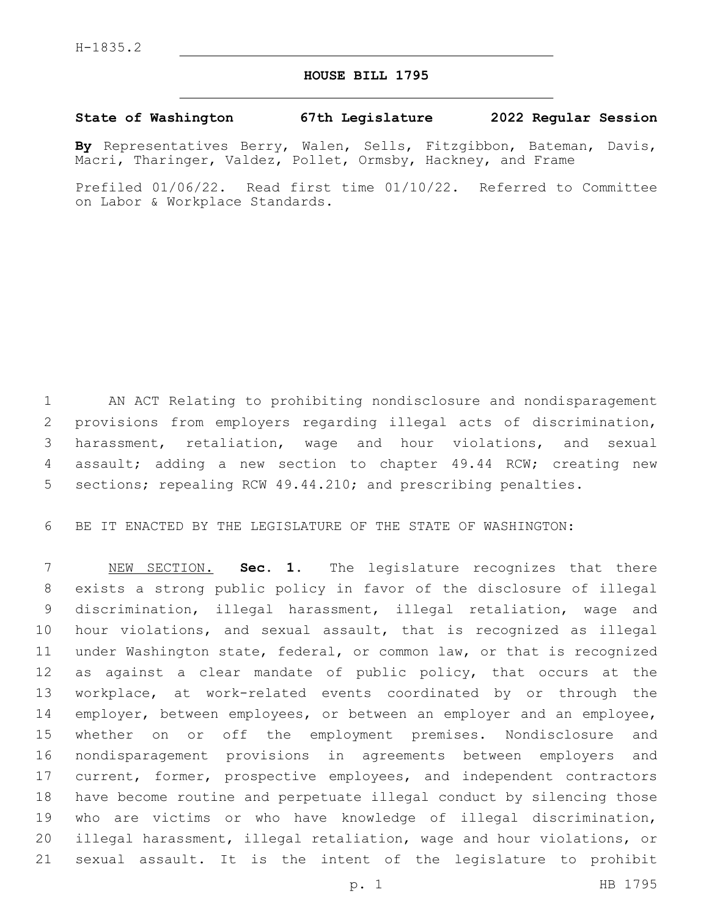## **HOUSE BILL 1795**

## **State of Washington 67th Legislature 2022 Regular Session**

**By** Representatives Berry, Walen, Sells, Fitzgibbon, Bateman, Davis, Macri, Tharinger, Valdez, Pollet, Ormsby, Hackney, and Frame

Prefiled 01/06/22. Read first time 01/10/22. Referred to Committee on Labor & Workplace Standards.

 AN ACT Relating to prohibiting nondisclosure and nondisparagement provisions from employers regarding illegal acts of discrimination, harassment, retaliation, wage and hour violations, and sexual assault; adding a new section to chapter 49.44 RCW; creating new sections; repealing RCW 49.44.210; and prescribing penalties.

BE IT ENACTED BY THE LEGISLATURE OF THE STATE OF WASHINGTON:

 NEW SECTION. **Sec. 1.** The legislature recognizes that there exists a strong public policy in favor of the disclosure of illegal discrimination, illegal harassment, illegal retaliation, wage and hour violations, and sexual assault, that is recognized as illegal under Washington state, federal, or common law, or that is recognized as against a clear mandate of public policy, that occurs at the workplace, at work-related events coordinated by or through the 14 employer, between employees, or between an employer and an employee, whether on or off the employment premises. Nondisclosure and nondisparagement provisions in agreements between employers and current, former, prospective employees, and independent contractors have become routine and perpetuate illegal conduct by silencing those who are victims or who have knowledge of illegal discrimination, illegal harassment, illegal retaliation, wage and hour violations, or sexual assault. It is the intent of the legislature to prohibit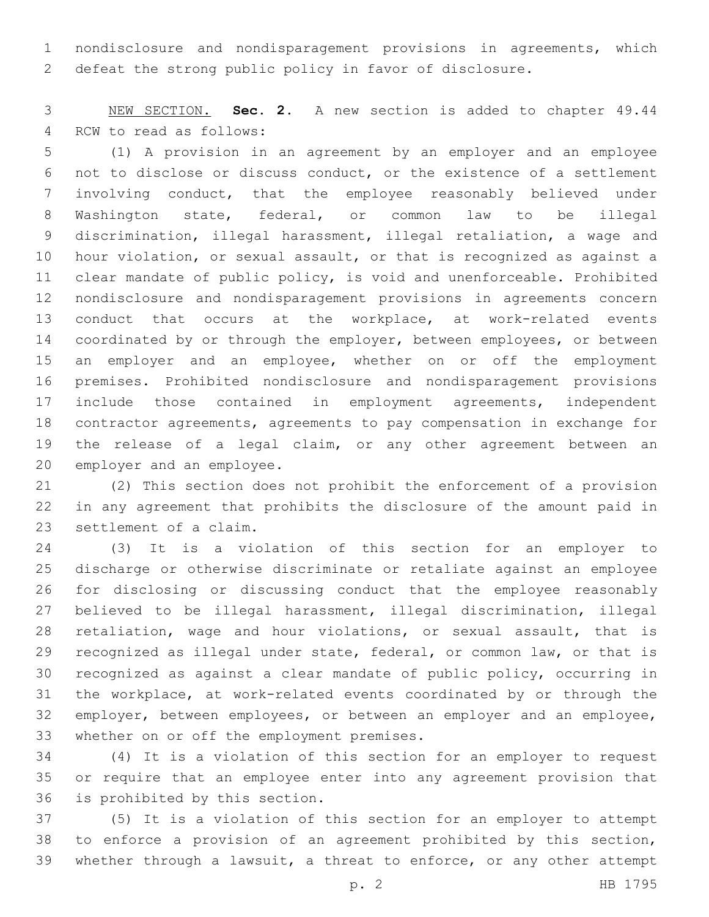nondisclosure and nondisparagement provisions in agreements, which defeat the strong public policy in favor of disclosure.

 NEW SECTION. **Sec. 2.** A new section is added to chapter 49.44 4 RCW to read as follows:

 (1) A provision in an agreement by an employer and an employee not to disclose or discuss conduct, or the existence of a settlement involving conduct, that the employee reasonably believed under Washington state, federal, or common law to be illegal discrimination, illegal harassment, illegal retaliation, a wage and hour violation, or sexual assault, or that is recognized as against a clear mandate of public policy, is void and unenforceable. Prohibited nondisclosure and nondisparagement provisions in agreements concern conduct that occurs at the workplace, at work-related events 14 coordinated by or through the employer, between employees, or between an employer and an employee, whether on or off the employment premises. Prohibited nondisclosure and nondisparagement provisions include those contained in employment agreements, independent contractor agreements, agreements to pay compensation in exchange for the release of a legal claim, or any other agreement between an 20 employer and an employee.

 (2) This section does not prohibit the enforcement of a provision in any agreement that prohibits the disclosure of the amount paid in 23 settlement of a claim.

 (3) It is a violation of this section for an employer to discharge or otherwise discriminate or retaliate against an employee for disclosing or discussing conduct that the employee reasonably believed to be illegal harassment, illegal discrimination, illegal retaliation, wage and hour violations, or sexual assault, that is recognized as illegal under state, federal, or common law, or that is recognized as against a clear mandate of public policy, occurring in the workplace, at work-related events coordinated by or through the 32 employer, between employees, or between an employer and an employee, 33 whether on or off the employment premises.

 (4) It is a violation of this section for an employer to request or require that an employee enter into any agreement provision that 36 is prohibited by this section.

 (5) It is a violation of this section for an employer to attempt to enforce a provision of an agreement prohibited by this section, whether through a lawsuit, a threat to enforce, or any other attempt